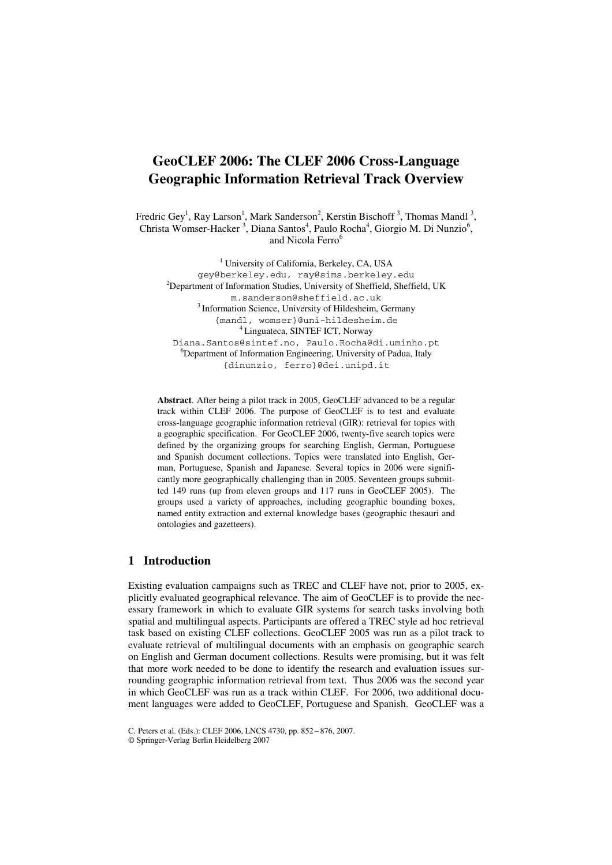# **GeoCLEF 2006: The CLEF 2006 Cross-Language Geographic Information Retrieval Track Overview**

Fredric Gey<sup>1</sup>, Ray Larson<sup>1</sup>, Mark Sanderson<sup>2</sup>, Kerstin Bischoff<sup>3</sup>, Thomas Mandl<sup>3</sup>, Christa Womser-Hacker<sup>3</sup>, Diana Santos<sup>4</sup>, Paulo Rocha<sup>4</sup>, Giorgio M. Di Nunzio<sup>6</sup>, and Nicola Ferro<sup>6</sup>

<sup>1</sup> University of California, Berkeley, CA, USA gey@berkeley.edu, ray@sims.berkeley.edu <sup>2</sup>Department of Information Studies, University of Sheffield, Sheffield, UK m.sanderson@sheffield.ac.uk <sup>3</sup> Information Science, University of Hildesheim, Germany {mandl, womser}@uni-hildesheim.de 4 Linguateca, SINTEF ICT, Norway Diana.Santos@sintef.no, Paulo.Rocha@di.uminho.pt 6 Department of Information Engineering, University of Padua, Italy {dinunzio, ferro}@dei.unipd.it

**Abstract**. After being a pilot track in 2005, GeoCLEF advanced to be a regular track within CLEF 2006. The purpose of GeoCLEF is to test and evaluate cross-language geographic information retrieval (GIR): retrieval for topics with a geographic specification. For GeoCLEF 2006, twenty-five search topics were defined by the organizing groups for searching English, German, Portuguese and Spanish document collections. Topics were translated into English, German, Portuguese, Spanish and Japanese. Several topics in 2006 were significantly more geographically challenging than in 2005. Seventeen groups submitted 149 runs (up from eleven groups and 117 runs in GeoCLEF 2005). The groups used a variety of approaches, including geographic bounding boxes, named entity extraction and external knowledge bases (geographic thesauri and ontologies and gazetteers).

# **1 Introduction**

Existing evaluation campaigns such as TREC and CLEF have not, prior to 2005, explicitly evaluated geographical relevance. The aim of GeoCLEF is to provide the necessary framework in which to evaluate GIR systems for search tasks involving both spatial and multilingual aspects. Participants are offered a TREC style ad hoc retrieval task based on existing CLEF collections. GeoCLEF 2005 was run as a pilot track to evaluate retrieval of multilingual documents with an emphasis on geographic search on English and German document collections. Results were promising, but it was felt that more work needed to be done to identify the research and evaluation issues surrounding geographic information retrieval from text. Thus 2006 was the second year in which GeoCLEF was run as a track within CLEF. For 2006, two additional document languages were added to GeoCLEF, Portuguese and Spanish. GeoCLEF was a

C. Peters et al. (Eds.): CLEF 2006, LNCS 4730, pp. 852 – 876, 2007.

<sup>©</sup> Springer-Verlag Berlin Heidelberg 2007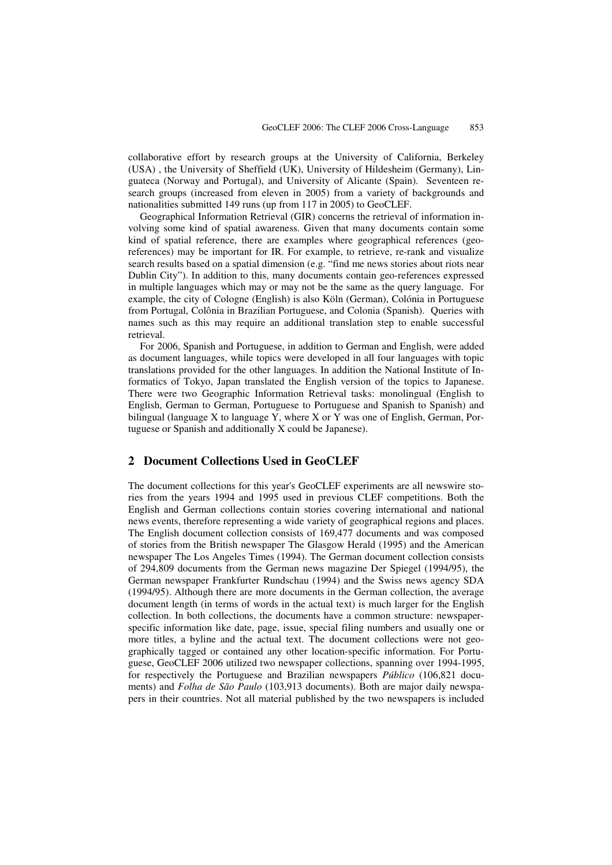collaborative effort by research groups at the University of California, Berkeley (USA) , the University of Sheffield (UK), University of Hildesheim (Germany), Linguateca (Norway and Portugal), and University of Alicante (Spain). Seventeen research groups (increased from eleven in 2005) from a variety of backgrounds and nationalities submitted 149 runs (up from 117 in 2005) to GeoCLEF.

Geographical Information Retrieval (GIR) concerns the retrieval of information involving some kind of spatial awareness. Given that many documents contain some kind of spatial reference, there are examples where geographical references (georeferences) may be important for IR. For example, to retrieve, re-rank and visualize search results based on a spatial dimension (e.g. "find me news stories about riots near Dublin City"). In addition to this, many documents contain geo-references expressed in multiple languages which may or may not be the same as the query language. For example, the city of Cologne (English) is also Köln (German), Colónia in Portuguese from Portugal, Colônia in Brazilian Portuguese, and Colonia (Spanish). Queries with names such as this may require an additional translation step to enable successful retrieval.

For 2006, Spanish and Portuguese, in addition to German and English, were added as document languages, while topics were developed in all four languages with topic translations provided for the other languages. In addition the National Institute of Informatics of Tokyo, Japan translated the English version of the topics to Japanese. There were two Geographic Information Retrieval tasks: monolingual (English to English, German to German, Portuguese to Portuguese and Spanish to Spanish) and bilingual (language X to language Y, where X or Y was one of English, German, Portuguese or Spanish and additionally X could be Japanese).

# **2 Document Collections Used in GeoCLEF**

The document collections for this year's GeoCLEF experiments are all newswire stories from the years 1994 and 1995 used in previous CLEF competitions. Both the English and German collections contain stories covering international and national news events, therefore representing a wide variety of geographical regions and places. The English document collection consists of 169,477 documents and was composed of stories from the British newspaper The Glasgow Herald (1995) and the American newspaper The Los Angeles Times (1994). The German document collection consists of 294,809 documents from the German news magazine Der Spiegel (1994/95), the German newspaper Frankfurter Rundschau (1994) and the Swiss news agency SDA (1994/95). Although there are more documents in the German collection, the average document length (in terms of words in the actual text) is much larger for the English collection. In both collections, the documents have a common structure: newspaperspecific information like date, page, issue, special filing numbers and usually one or more titles, a byline and the actual text. The document collections were not geographically tagged or contained any other location-specific information. For Portuguese, GeoCLEF 2006 utilized two newspaper collections, spanning over 1994-1995, for respectively the Portuguese and Brazilian newspapers *Público* (106,821 documents) and *Folha de São Paulo* (103,913 documents). Both are major daily newspapers in their countries. Not all material published by the two newspapers is included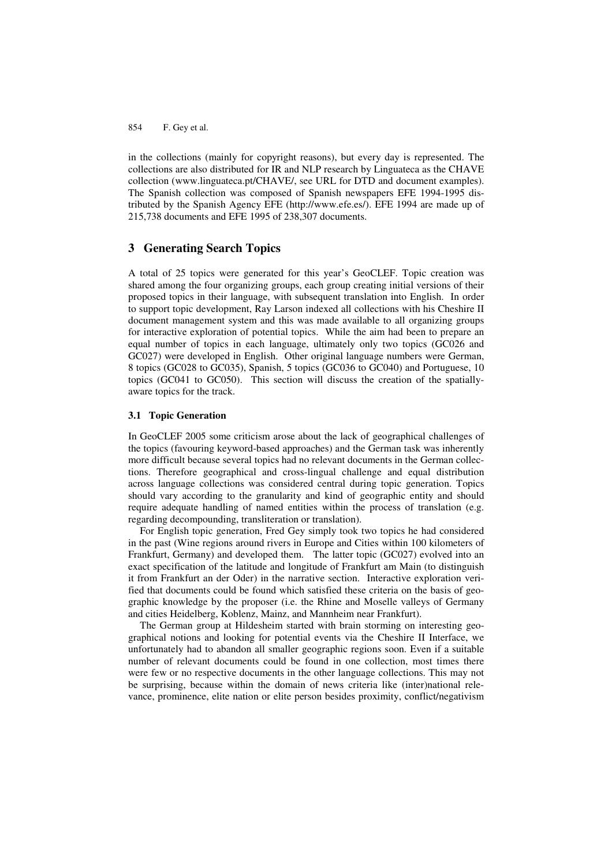in the collections (mainly for copyright reasons), but every day is represented. The collections are also distributed for IR and NLP research by Linguateca as the CHAVE collection (www.linguateca.pt/CHAVE/, see URL for DTD and document examples). The Spanish collection was composed of Spanish newspapers EFE 1994-1995 distributed by the Spanish Agency EFE (http://www.efe.es/). EFE 1994 are made up of 215,738 documents and EFE 1995 of 238,307 documents.

# **3 Generating Search Topics**

A total of 25 topics were generated for this year's GeoCLEF. Topic creation was shared among the four organizing groups, each group creating initial versions of their proposed topics in their language, with subsequent translation into English. In order to support topic development, Ray Larson indexed all collections with his Cheshire II document management system and this was made available to all organizing groups for interactive exploration of potential topics. While the aim had been to prepare an equal number of topics in each language, ultimately only two topics (GC026 and GC027) were developed in English. Other original language numbers were German, 8 topics (GC028 to GC035), Spanish, 5 topics (GC036 to GC040) and Portuguese, 10 topics (GC041 to GC050). This section will discuss the creation of the spatiallyaware topics for the track.

### **3.1 Topic Generation**

In GeoCLEF 2005 some criticism arose about the lack of geographical challenges of the topics (favouring keyword-based approaches) and the German task was inherently more difficult because several topics had no relevant documents in the German collections. Therefore geographical and cross-lingual challenge and equal distribution across language collections was considered central during topic generation. Topics should vary according to the granularity and kind of geographic entity and should require adequate handling of named entities within the process of translation (e.g. regarding decompounding, transliteration or translation).

For English topic generation, Fred Gey simply took two topics he had considered in the past (Wine regions around rivers in Europe and Cities within 100 kilometers of Frankfurt, Germany) and developed them. The latter topic (GC027) evolved into an exact specification of the latitude and longitude of Frankfurt am Main (to distinguish it from Frankfurt an der Oder) in the narrative section. Interactive exploration verified that documents could be found which satisfied these criteria on the basis of geographic knowledge by the proposer (i.e. the Rhine and Moselle valleys of Germany and cities Heidelberg, Koblenz, Mainz, and Mannheim near Frankfurt).

The German group at Hildesheim started with brain storming on interesting geographical notions and looking for potential events via the Cheshire II Interface, we unfortunately had to abandon all smaller geographic regions soon. Even if a suitable number of relevant documents could be found in one collection, most times there were few or no respective documents in the other language collections. This may not be surprising, because within the domain of news criteria like (inter)national relevance, prominence, elite nation or elite person besides proximity, conflict/negativism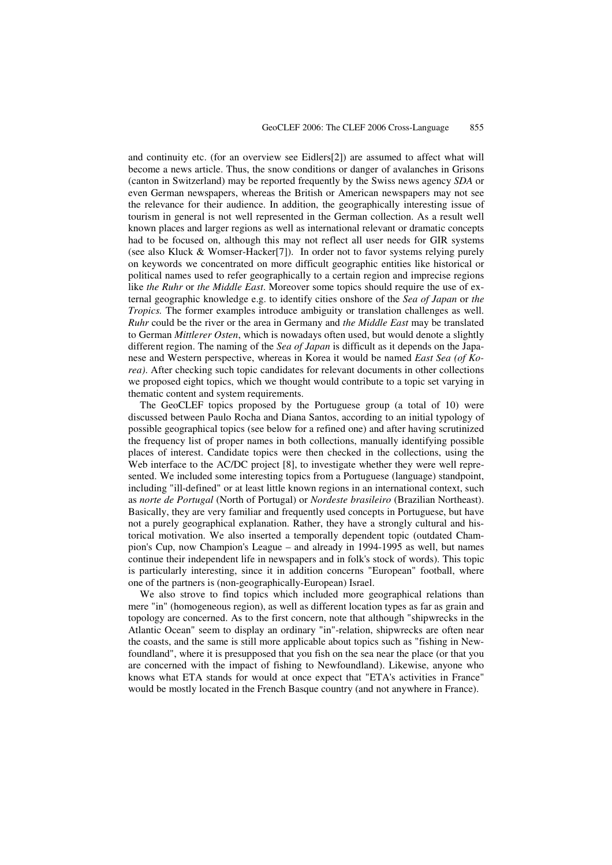and continuity etc. (for an overview see Eidlers[2]) are assumed to affect what will become a news article. Thus, the snow conditions or danger of avalanches in Grisons (canton in Switzerland) may be reported frequently by the Swiss news agency *SDA* or even German newspapers, whereas the British or American newspapers may not see the relevance for their audience. In addition, the geographically interesting issue of tourism in general is not well represented in the German collection. As a result well known places and larger regions as well as international relevant or dramatic concepts had to be focused on, although this may not reflect all user needs for GIR systems (see also Kluck & Womser-Hacker[7]). In order not to favor systems relying purely on keywords we concentrated on more difficult geographic entities like historical or political names used to refer geographically to a certain region and imprecise regions like *the Ruhr* or *the Middle East*. Moreover some topics should require the use of external geographic knowledge e.g. to identify cities onshore of the *Sea of Japan* or *the Tropics.* The former examples introduce ambiguity or translation challenges as well. *Ruhr* could be the river or the area in Germany and *the Middle East* may be translated to German *Mittlerer Osten*, which is nowadays often used, but would denote a slightly different region. The naming of the *Sea of Japan* is difficult as it depends on the Japanese and Western perspective, whereas in Korea it would be named *East Sea (of Korea)*. After checking such topic candidates for relevant documents in other collections we proposed eight topics, which we thought would contribute to a topic set varying in thematic content and system requirements.

The GeoCLEF topics proposed by the Portuguese group (a total of 10) were discussed between Paulo Rocha and Diana Santos, according to an initial typology of possible geographical topics (see below for a refined one) and after having scrutinized the frequency list of proper names in both collections, manually identifying possible places of interest. Candidate topics were then checked in the collections, using the Web interface to the AC/DC project [8], to investigate whether they were well represented. We included some interesting topics from a Portuguese (language) standpoint, including "ill-defined" or at least little known regions in an international context, such as *norte de Portugal* (North of Portugal) or *Nordeste brasileiro* (Brazilian Northeast). Basically, they are very familiar and frequently used concepts in Portuguese, but have not a purely geographical explanation. Rather, they have a strongly cultural and historical motivation. We also inserted a temporally dependent topic (outdated Champion's Cup, now Champion's League – and already in 1994-1995 as well, but names continue their independent life in newspapers and in folk's stock of words). This topic is particularly interesting, since it in addition concerns "European" football, where one of the partners is (non-geographically-European) Israel.

We also strove to find topics which included more geographical relations than mere "in" (homogeneous region), as well as different location types as far as grain and topology are concerned. As to the first concern, note that although "shipwrecks in the Atlantic Ocean" seem to display an ordinary "in"-relation, shipwrecks are often near the coasts, and the same is still more applicable about topics such as "fishing in Newfoundland", where it is presupposed that you fish on the sea near the place (or that you are concerned with the impact of fishing to Newfoundland). Likewise, anyone who knows what ETA stands for would at once expect that "ETA's activities in France" would be mostly located in the French Basque country (and not anywhere in France).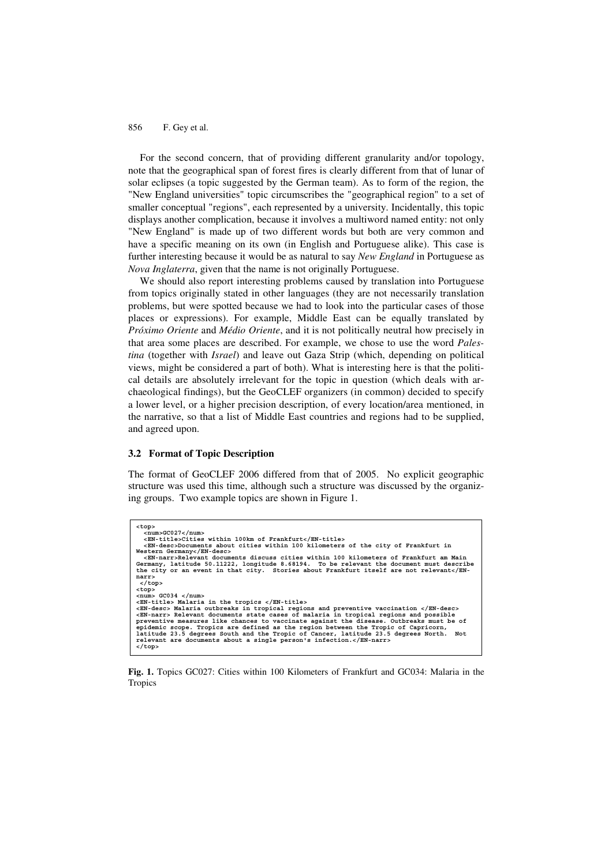For the second concern, that of providing different granularity and/or topology, note that the geographical span of forest fires is clearly different from that of lunar of solar eclipses (a topic suggested by the German team). As to form of the region, the "New England universities" topic circumscribes the "geographical region" to a set of smaller conceptual "regions", each represented by a university. Incidentally, this topic displays another complication, because it involves a multiword named entity: not only "New England" is made up of two different words but both are very common and have a specific meaning on its own (in English and Portuguese alike). This case is further interesting because it would be as natural to say *New England* in Portuguese as *Nova Inglaterra*, given that the name is not originally Portuguese.

We should also report interesting problems caused by translation into Portuguese from topics originally stated in other languages (they are not necessarily translation problems, but were spotted because we had to look into the particular cases of those places or expressions). For example, Middle East can be equally translated by *Próximo Oriente* and *Médio Oriente*, and it is not politically neutral how precisely in that area some places are described. For example, we chose to use the word *Palestina* (together with *Israel*) and leave out Gaza Strip (which, depending on political views, might be considered a part of both). What is interesting here is that the political details are absolutely irrelevant for the topic in question (which deals with archaeological findings), but the GeoCLEF organizers (in common) decided to specify a lower level, or a higher precision description, of every location/area mentioned, in the narrative, so that a list of Middle East countries and regions had to be supplied, and agreed upon.

#### **3.2 Format of Topic Description**

The format of GeoCLEF 2006 differed from that of 2005. No explicit geographic structure was used this time, although such a structure was discussed by the organizing groups. Two example topics are shown in Figure 1.

```
<top> 
 <num>GC027</num> 
 <EN-title>Cities within 100km of Frankfurt</EN-title> 
     <EN-desc>Documents about cities within 100 kilometers of the city of Frankfurt in 
 Western Germany</EN-desc><br><EN-narr>Relevant documents discuss cities within 100 kilometers of Frankfurt am Main<br>Germany, latitude 50.11222, longitude 8.68194. To be relevant the document must describe<br>the city or an event 
narr> 
 </top><br><top><br><num> GC034 </num><br><mum> GC034 </num><br><EN-title> Malaria in the tropics </EN-title>
 <EN-desc> Malaria outbreaks in tropical regions and preventive vaccination </EN-desc><br>cEN-narr> Relevant documents state cases of malaria in tropical regions and possible<br>preventive measures like chances to vaccinate again
     relevant are documents about a single person's infection.</EN-narr> 
</top>
```
**Fig. 1.** Topics GC027: Cities within 100 Kilometers of Frankfurt and GC034: Malaria in the **Tropics**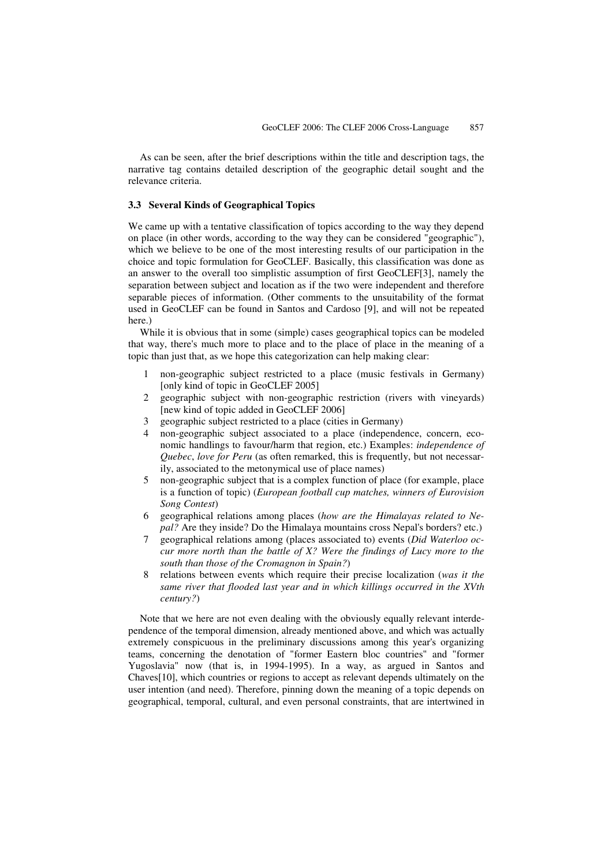As can be seen, after the brief descriptions within the title and description tags, the narrative tag contains detailed description of the geographic detail sought and the relevance criteria.

### **3.3 Several Kinds of Geographical Topics**

We came up with a tentative classification of topics according to the way they depend on place (in other words, according to the way they can be considered "geographic"), which we believe to be one of the most interesting results of our participation in the choice and topic formulation for GeoCLEF. Basically, this classification was done as an answer to the overall too simplistic assumption of first GeoCLEF[3], namely the separation between subject and location as if the two were independent and therefore separable pieces of information. (Other comments to the unsuitability of the format used in GeoCLEF can be found in Santos and Cardoso [9], and will not be repeated here.)

While it is obvious that in some (simple) cases geographical topics can be modeled that way, there's much more to place and to the place of place in the meaning of a topic than just that, as we hope this categorization can help making clear:

- 1 non-geographic subject restricted to a place (music festivals in Germany) [only kind of topic in GeoCLEF 2005]
- 2 geographic subject with non-geographic restriction (rivers with vineyards) [new kind of topic added in GeoCLEF 2006]
- 3 geographic subject restricted to a place (cities in Germany)
- 4 non-geographic subject associated to a place (independence, concern, economic handlings to favour/harm that region, etc.) Examples: *independence of Quebec*, *love for Peru* (as often remarked, this is frequently, but not necessarily, associated to the metonymical use of place names)
- 5 non-geographic subject that is a complex function of place (for example, place is a function of topic) (*European football cup matches, winners of Eurovision Song Contest*)
- 6 geographical relations among places (*how are the Himalayas related to Nepal?* Are they inside? Do the Himalaya mountains cross Nepal's borders? etc.)
- 7 geographical relations among (places associated to) events (*Did Waterloo occur more north than the battle of X? Were the findings of Lucy more to the south than those of the Cromagnon in Spain?*)
- 8 relations between events which require their precise localization (*was it the same river that flooded last year and in which killings occurred in the XVth century?*)

Note that we here are not even dealing with the obviously equally relevant interdependence of the temporal dimension, already mentioned above, and which was actually extremely conspicuous in the preliminary discussions among this year's organizing teams, concerning the denotation of "former Eastern bloc countries" and "former Yugoslavia" now (that is, in 1994-1995). In a way, as argued in Santos and Chaves[10], which countries or regions to accept as relevant depends ultimately on the user intention (and need). Therefore, pinning down the meaning of a topic depends on geographical, temporal, cultural, and even personal constraints, that are intertwined in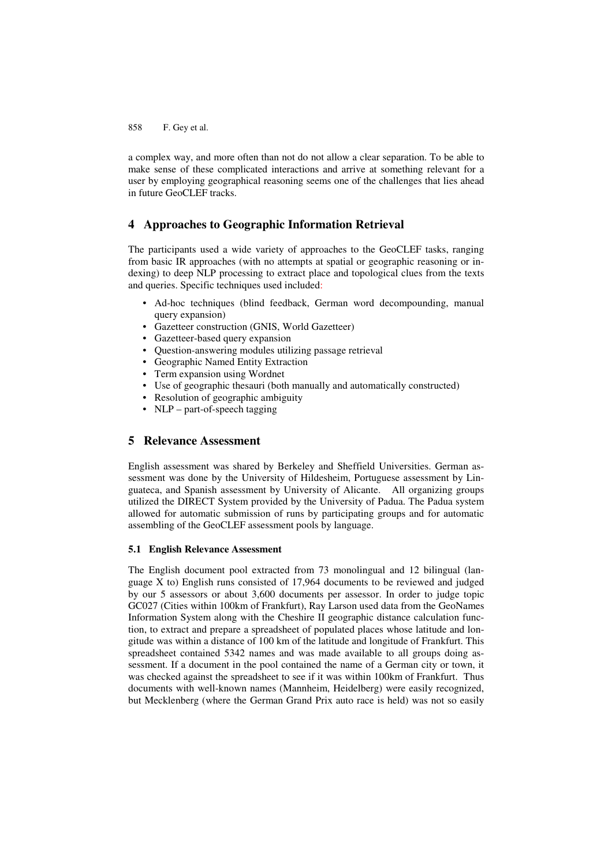a complex way, and more often than not do not allow a clear separation. To be able to make sense of these complicated interactions and arrive at something relevant for a user by employing geographical reasoning seems one of the challenges that lies ahead in future GeoCLEF tracks.

# **4 Approaches to Geographic Information Retrieval**

The participants used a wide variety of approaches to the GeoCLEF tasks, ranging from basic IR approaches (with no attempts at spatial or geographic reasoning or indexing) to deep NLP processing to extract place and topological clues from the texts and queries. Specific techniques used included:

- Ad-hoc techniques (blind feedback, German word decompounding, manual query expansion)
- Gazetteer construction (GNIS, World Gazetteer)
- Gazetteer-based query expansion
- Question-answering modules utilizing passage retrieval
- Geographic Named Entity Extraction
- Term expansion using Wordnet
- Use of geographic thesauri (both manually and automatically constructed)
- Resolution of geographic ambiguity
- NLP part-of-speech tagging

# **5 Relevance Assessment**

English assessment was shared by Berkeley and Sheffield Universities. German assessment was done by the University of Hildesheim, Portuguese assessment by Linguateca, and Spanish assessment by University of Alicante. All organizing groups utilized the DIRECT System provided by the University of Padua. The Padua system allowed for automatic submission of runs by participating groups and for automatic assembling of the GeoCLEF assessment pools by language.

### **5.1 English Relevance Assessment**

The English document pool extracted from 73 monolingual and 12 bilingual (language X to) English runs consisted of 17,964 documents to be reviewed and judged by our 5 assessors or about 3,600 documents per assessor. In order to judge topic GC027 (Cities within 100km of Frankfurt), Ray Larson used data from the GeoNames Information System along with the Cheshire II geographic distance calculation function, to extract and prepare a spreadsheet of populated places whose latitude and longitude was within a distance of 100 km of the latitude and longitude of Frankfurt. This spreadsheet contained 5342 names and was made available to all groups doing assessment. If a document in the pool contained the name of a German city or town, it was checked against the spreadsheet to see if it was within 100km of Frankfurt. Thus documents with well-known names (Mannheim, Heidelberg) were easily recognized, but Mecklenberg (where the German Grand Prix auto race is held) was not so easily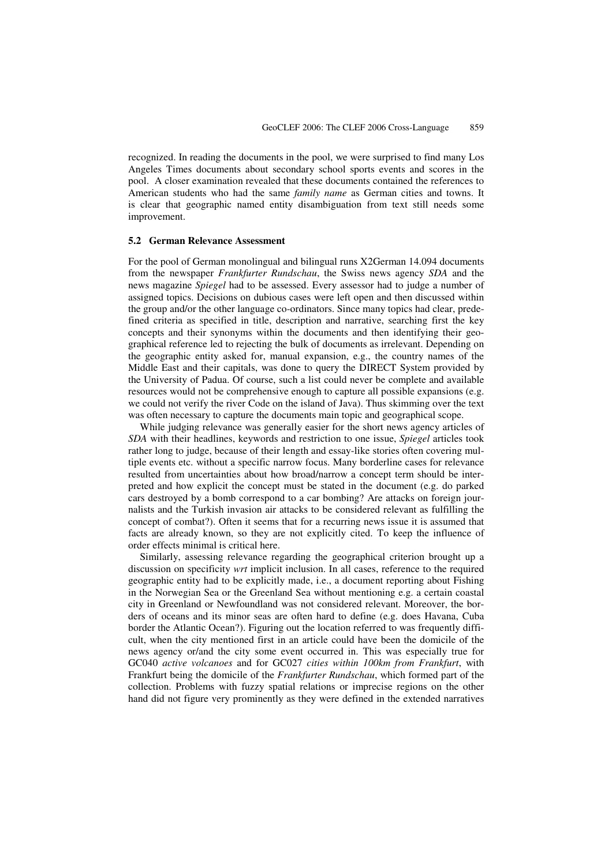recognized. In reading the documents in the pool, we were surprised to find many Los Angeles Times documents about secondary school sports events and scores in the pool. A closer examination revealed that these documents contained the references to American students who had the same *family name* as German cities and towns. It is clear that geographic named entity disambiguation from text still needs some improvement.

# **5.2 German Relevance Assessment**

For the pool of German monolingual and bilingual runs X2German 14.094 documents from the newspaper *Frankfurter Rundschau*, the Swiss news agency *SDA* and the news magazine *Spiegel* had to be assessed. Every assessor had to judge a number of assigned topics. Decisions on dubious cases were left open and then discussed within the group and/or the other language co-ordinators. Since many topics had clear, predefined criteria as specified in title, description and narrative, searching first the key concepts and their synonyms within the documents and then identifying their geographical reference led to rejecting the bulk of documents as irrelevant. Depending on the geographic entity asked for, manual expansion, e.g., the country names of the Middle East and their capitals, was done to query the DIRECT System provided by the University of Padua. Of course, such a list could never be complete and available resources would not be comprehensive enough to capture all possible expansions (e.g. we could not verify the river Code on the island of Java). Thus skimming over the text was often necessary to capture the documents main topic and geographical scope.

While judging relevance was generally easier for the short news agency articles of *SDA* with their headlines, keywords and restriction to one issue, *Spiegel* articles took rather long to judge, because of their length and essay-like stories often covering multiple events etc. without a specific narrow focus. Many borderline cases for relevance resulted from uncertainties about how broad/narrow a concept term should be interpreted and how explicit the concept must be stated in the document (e.g. do parked cars destroyed by a bomb correspond to a car bombing? Are attacks on foreign journalists and the Turkish invasion air attacks to be considered relevant as fulfilling the concept of combat?). Often it seems that for a recurring news issue it is assumed that facts are already known, so they are not explicitly cited. To keep the influence of order effects minimal is critical here.

Similarly, assessing relevance regarding the geographical criterion brought up a discussion on specificity *wrt* implicit inclusion. In all cases, reference to the required geographic entity had to be explicitly made, i.e., a document reporting about Fishing in the Norwegian Sea or the Greenland Sea without mentioning e.g. a certain coastal city in Greenland or Newfoundland was not considered relevant. Moreover, the borders of oceans and its minor seas are often hard to define (e.g. does Havana, Cuba border the Atlantic Ocean?). Figuring out the location referred to was frequently difficult, when the city mentioned first in an article could have been the domicile of the news agency or/and the city some event occurred in. This was especially true for GC040 *active volcanoes* and for GC027 *cities within 100km from Frankfurt*, with Frankfurt being the domicile of the *Frankfurter Rundschau*, which formed part of the collection. Problems with fuzzy spatial relations or imprecise regions on the other hand did not figure very prominently as they were defined in the extended narratives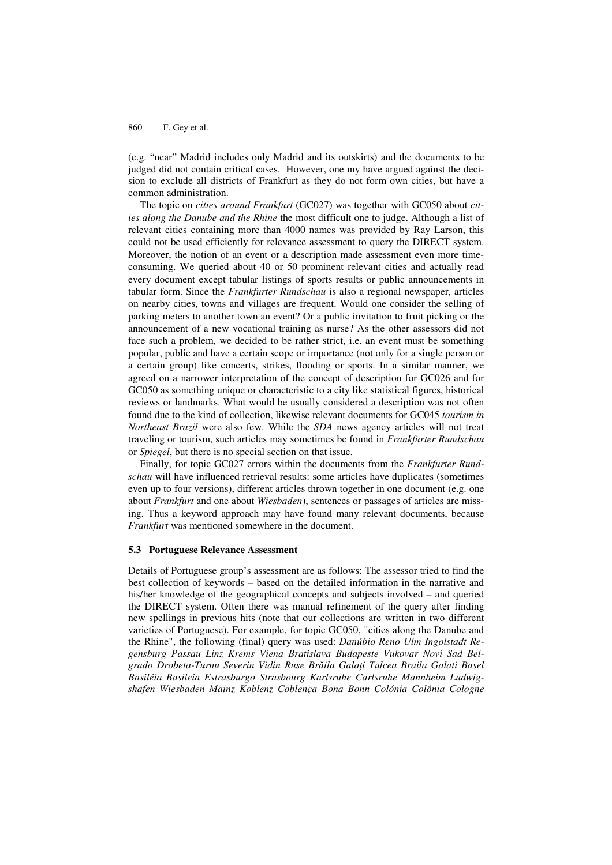(e.g. "near" Madrid includes only Madrid and its outskirts) and the documents to be judged did not contain critical cases. However, one my have argued against the decision to exclude all districts of Frankfurt as they do not form own cities, but have a common administration.

The topic on *cities around Frankfurt* (GC027) was together with GC050 about *cities along the Danube and the Rhine* the most difficult one to judge. Although a list of relevant cities containing more than 4000 names was provided by Ray Larson, this could not be used efficiently for relevance assessment to query the DIRECT system. Moreover, the notion of an event or a description made assessment even more timeconsuming. We queried about 40 or 50 prominent relevant cities and actually read every document except tabular listings of sports results or public announcements in tabular form. Since the *Frankfurter Rundschau* is also a regional newspaper, articles on nearby cities, towns and villages are frequent. Would one consider the selling of parking meters to another town an event? Or a public invitation to fruit picking or the announcement of a new vocational training as nurse? As the other assessors did not face such a problem, we decided to be rather strict, i.e. an event must be something popular, public and have a certain scope or importance (not only for a single person or a certain group) like concerts, strikes, flooding or sports. In a similar manner, we agreed on a narrower interpretation of the concept of description for GC026 and for GC050 as something unique or characteristic to a city like statistical figures, historical reviews or landmarks. What would be usually considered a description was not often found due to the kind of collection, likewise relevant documents for GC045 *tourism in Northeast Brazil* were also few. While the *SDA* news agency articles will not treat traveling or tourism, such articles may sometimes be found in *Frankfurter Rundschau* or *Spiegel*, but there is no special section on that issue.

Finally, for topic GC027 errors within the documents from the *Frankfurter Rundschau* will have influenced retrieval results: some articles have duplicates (sometimes even up to four versions), different articles thrown together in one document (e.g. one about *Frankfurt* and one about *Wiesbaden*), sentences or passages of articles are missing. Thus a keyword approach may have found many relevant documents, because *Frankfurt* was mentioned somewhere in the document.

### **5.3 Portuguese Relevance Assessment**

Details of Portuguese group's assessment are as follows: The assessor tried to find the best collection of keywords – based on the detailed information in the narrative and his/her knowledge of the geographical concepts and subjects involved – and queried the DIRECT system. Often there was manual refinement of the query after finding new spellings in previous hits (note that our collections are written in two different varieties of Portuguese). For example, for topic GC050, "cities along the Danube and the Rhine", the following (final) query was used: *Danúbio Reno Ulm Ingolstadt Regensburg Passau Linz Krems Viena Bratislava Budapeste Vukovar Novi Sad Belgrado Drobeta-Turnu Severin Vidin Ruse Brăila Galaţi Tulcea Braila Galati Basel Basiléia Basileia Estrasburgo Strasbourg Karlsruhe Carlsruhe Mannheim Ludwigshafen Wiesbaden Mainz Koblenz Coblença Bona Bonn Colónia Colônia Cologne*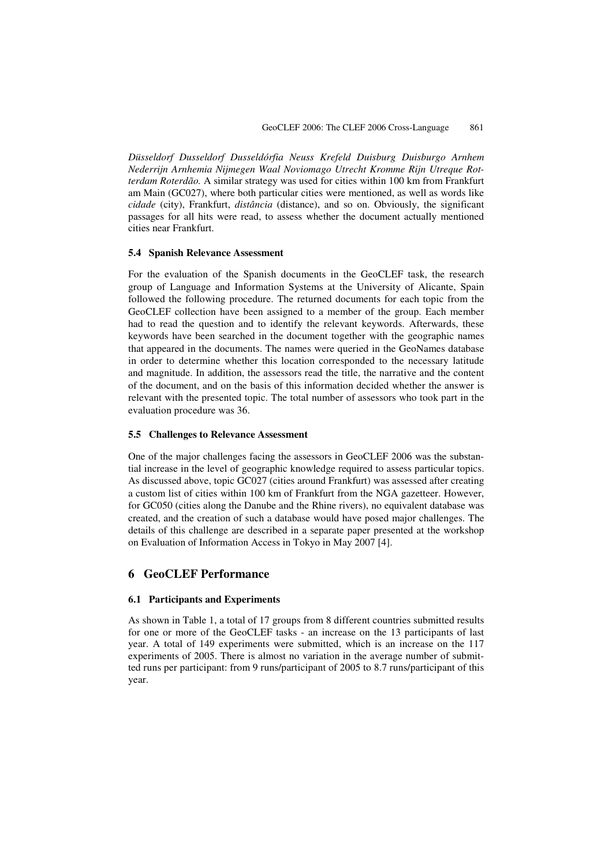*Düsseldorf Dusseldorf Dusseldórfia Neuss Krefeld Duisburg Duisburgo Arnhem Nederrijn Arnhemia Nijmegen Waal Noviomago Utrecht Kromme Rijn Utreque Rotterdam Roterdão.* A similar strategy was used for cities within 100 km from Frankfurt am Main (GC027), where both particular cities were mentioned, as well as words like *cidade* (city), Frankfurt, *distância* (distance), and so on. Obviously, the significant passages for all hits were read, to assess whether the document actually mentioned cities near Frankfurt.

### **5.4 Spanish Relevance Assessment**

For the evaluation of the Spanish documents in the GeoCLEF task, the research group of Language and Information Systems at the University of Alicante, Spain followed the following procedure. The returned documents for each topic from the GeoCLEF collection have been assigned to a member of the group. Each member had to read the question and to identify the relevant keywords. Afterwards, these keywords have been searched in the document together with the geographic names that appeared in the documents. The names were queried in the GeoNames database in order to determine whether this location corresponded to the necessary latitude and magnitude. In addition, the assessors read the title, the narrative and the content of the document, and on the basis of this information decided whether the answer is relevant with the presented topic. The total number of assessors who took part in the evaluation procedure was 36.

#### **5.5 Challenges to Relevance Assessment**

One of the major challenges facing the assessors in GeoCLEF 2006 was the substantial increase in the level of geographic knowledge required to assess particular topics. As discussed above, topic GC027 (cities around Frankfurt) was assessed after creating a custom list of cities within 100 km of Frankfurt from the NGA gazetteer. However, for GC050 (cities along the Danube and the Rhine rivers), no equivalent database was created, and the creation of such a database would have posed major challenges. The details of this challenge are described in a separate paper presented at the workshop on Evaluation of Information Access in Tokyo in May 2007 [4].

### **6 GeoCLEF Performance**

### **6.1 Participants and Experiments**

As shown in Table 1, a total of 17 groups from 8 different countries submitted results for one or more of the GeoCLEF tasks - an increase on the 13 participants of last year. A total of 149 experiments were submitted, which is an increase on the 117 experiments of 2005. There is almost no variation in the average number of submitted runs per participant: from 9 runs/participant of 2005 to 8.7 runs/participant of this year.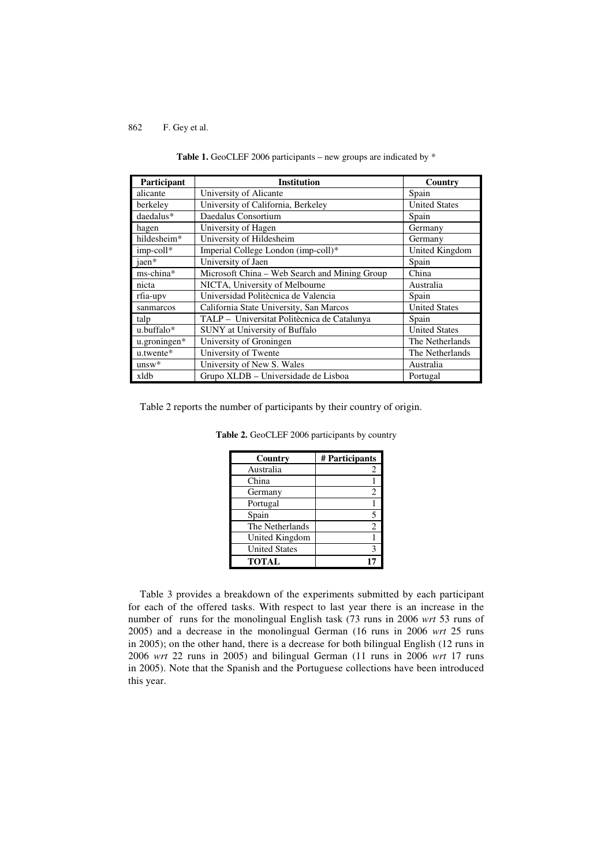| Participant     | <b>Institution</b>                            | Country              |
|-----------------|-----------------------------------------------|----------------------|
| alicante        | University of Alicante                        | Spain                |
| berkeley        | University of California, Berkeley            | <b>United States</b> |
| daedalus*       | Daedalus Consortium                           | Spain                |
| hagen           | University of Hagen                           | Germany              |
| hildesheim*     | University of Hildesheim                      | Germany              |
| $imp$ -coll $*$ | Imperial College London (imp-coll)*           | United Kingdom       |
| jaen*           | University of Jaen                            | Spain                |
| ms-china*       | Microsoft China - Web Search and Mining Group | China                |
| nicta           | NICTA, University of Melbourne                | Australia            |
| rfia-upv        | Universidad Politècnica de Valencia           | Spain                |
| sanmarcos       | California State University, San Marcos       | <b>United States</b> |
| talp            | TALP - Universitat Politècnica de Catalunya   | Spain                |
| u.buffalo*      | SUNY at University of Buffalo                 | <b>United States</b> |
| u.groningen*    | University of Groningen                       | The Netherlands      |
| $u.t$ wente $*$ | University of Twente                          | The Netherlands      |
| $unsw*$         | University of New S. Wales                    | Australia            |
| xldb            | Grupo XLDB - Universidade de Lisboa           | Portugal             |

|  |  |  | <b>Table 1.</b> GeoCLEF 2006 participants – new groups are indicated by $*$ |  |
|--|--|--|-----------------------------------------------------------------------------|--|
|--|--|--|-----------------------------------------------------------------------------|--|

Table 2 reports the number of participants by their country of origin.

| Country              | # Participants |
|----------------------|----------------|
| Australia            | 2              |
| China                | 1              |
| Germany              | 2              |
| Portugal             |                |
| Spain                | 5              |
| The Netherlands      | 2              |
| United Kingdom       | 1              |
| <b>United States</b> | 3              |
| <b>TOTAL</b>         |                |

**Table 2.** GeoCLEF 2006 participants by country

Table 3 provides a breakdown of the experiments submitted by each participant for each of the offered tasks. With respect to last year there is an increase in the number of runs for the monolingual English task (73 runs in 2006 *wrt* 53 runs of 2005) and a decrease in the monolingual German (16 runs in 2006 *wrt* 25 runs in 2005); on the other hand, there is a decrease for both bilingual English (12 runs in 2006 *wrt* 22 runs in 2005) and bilingual German (11 runs in 2006 *wrt* 17 runs in 2005). Note that the Spanish and the Portuguese collections have been introduced this year.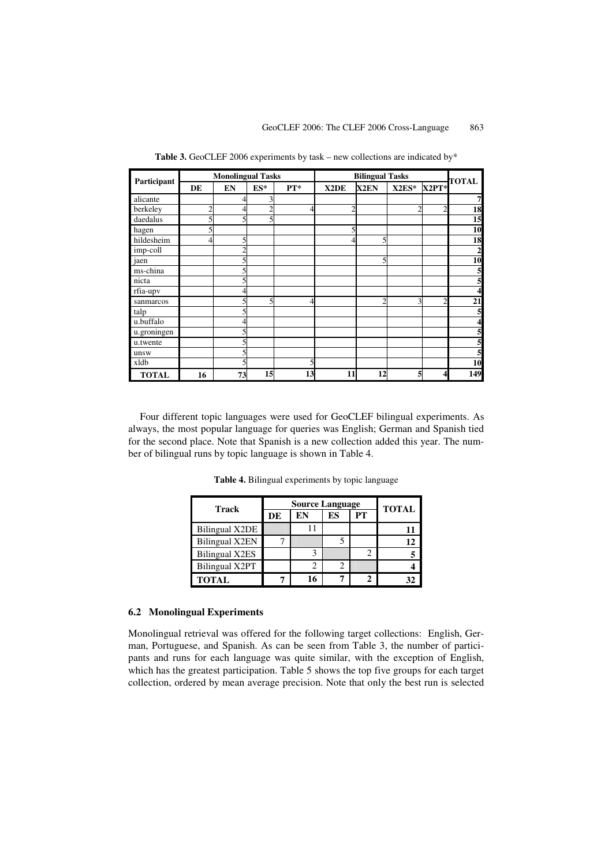| Participant  |    | <b>Monolingual Tasks</b> |        |        | <b>Bilingual Tasks</b> |          |         |                | <b>TOTAL</b> |  |
|--------------|----|--------------------------|--------|--------|------------------------|----------|---------|----------------|--------------|--|
|              | DE | EN                       | $ES^*$ | $PT^*$ | X <sub>2</sub> DE      | X2EN     | $X2ES*$ | $X2PT*$        |              |  |
| alicante     |    |                          |        |        |                        |          |         |                |              |  |
| berkeley     | ↑  |                          |        | 4      | っ                      |          |         | $\overline{c}$ | 18           |  |
| daedalus     |    |                          |        |        |                        |          |         |                | 15           |  |
| hagen        |    |                          |        |        |                        |          |         |                | 10           |  |
| hildesheim   | 4  |                          |        |        |                        |          |         |                | 18           |  |
| imp-coll     |    |                          |        |        |                        |          |         |                | $\mathbf{a}$ |  |
| jaen         |    |                          |        |        |                        |          |         |                | 10           |  |
| ms-china     |    |                          |        |        |                        |          |         |                |              |  |
| nicta        |    |                          |        |        |                        |          |         |                |              |  |
| rfia-upv     |    |                          |        |        |                        |          |         |                |              |  |
| sanmarcos    |    |                          | 5      |        |                        | $\Delta$ | っ       | $\overline{c}$ | 21           |  |
| talp         |    |                          |        |        |                        |          |         |                |              |  |
| u.buffalo    |    |                          |        |        |                        |          |         |                |              |  |
| u.groningen  |    |                          |        |        |                        |          |         |                |              |  |
| u.twente     |    |                          |        |        |                        |          |         |                |              |  |
| unsw         |    |                          |        |        |                        |          |         |                |              |  |
| xldb         |    |                          |        | 5      |                        |          |         |                | 10           |  |
| <b>TOTAL</b> | 16 | 73                       | 15     | 13     | 11                     | 12       |         | 4              | 149          |  |

Table 3. GeoCLEF 2006 experiments by task – new collections are indicated by\*

Four different topic languages were used for GeoCLEF bilingual experiments. As always, the most popular language for queries was English; German and Spanish tied for the second place. Note that Spanish is a new collection added this year. The number of bilingual runs by topic language is shown in Table 4.

| Track                 |    | <b>TOTAL</b> |    |    |    |
|-----------------------|----|--------------|----|----|----|
|                       | DE | EN           | ES | PТ |    |
| <b>Bilingual X2DE</b> |    |              |    |    |    |
| <b>Bilingual X2EN</b> |    |              |    |    | 12 |
| <b>Bilingual X2ES</b> |    |              |    |    |    |
| <b>Bilingual X2PT</b> |    |              |    |    |    |
| <b>TOTAL</b>          |    |              |    | 2  |    |

**Table 4.** Bilingual experiments by topic language

# **6.2 Monolingual Experiments**

Monolingual retrieval was offered for the following target collections: English, German, Portuguese, and Spanish. As can be seen from Table 3, the number of participants and runs for each language was quite similar, with the exception of English, which has the greatest participation. Table 5 shows the top five groups for each target collection, ordered by mean average precision. Note that only the best run is selected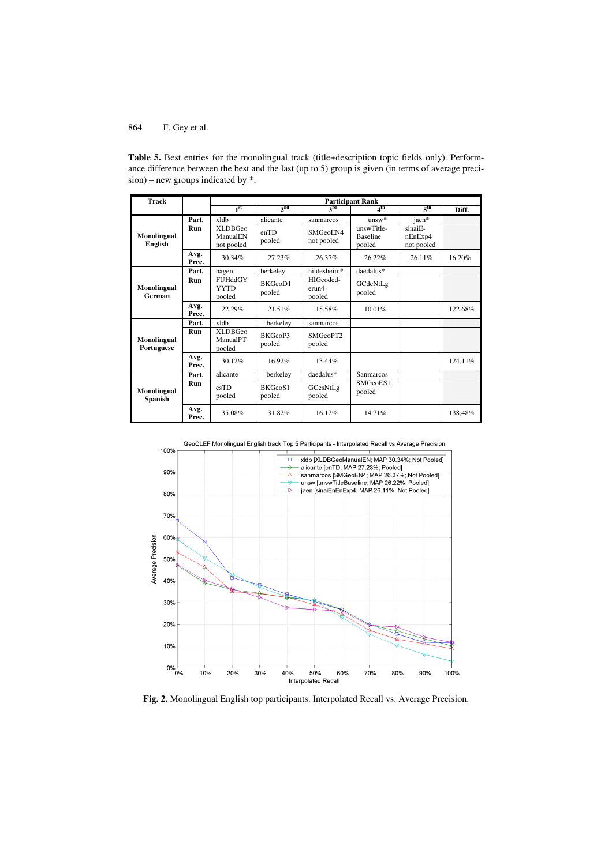| <b>Table 5.</b> Best entries for the monolingual track (title+description topic fields only). Perform- |  |
|--------------------------------------------------------------------------------------------------------|--|
| ance difference between the best and the last (up to 5) group is given (in terms of average preci-     |  |
| $sion$ ) – new groups indicated by $*$ .                                                               |  |

| Track                         |               | <b>Participant Rank</b>           |                   |                              |                                         |                                  |         |  |  |  |  |
|-------------------------------|---------------|-----------------------------------|-------------------|------------------------------|-----------------------------------------|----------------------------------|---------|--|--|--|--|
|                               |               | 1 <sup>st</sup>                   | 2 <sub>nd</sub>   | <sup>3rd</sup>               | 4 <sup>th</sup>                         | 5 <sup>th</sup>                  | Diff.   |  |  |  |  |
|                               | Part.         | xldb                              | alicante          | sanmarcos                    | $unsw*$                                 | iaen*                            |         |  |  |  |  |
| Monolingual<br><b>English</b> | Run           | XLDBGeo<br>ManualEN<br>not pooled | enTD<br>pooled    | SMGeoEN4<br>not pooled       | unswTitle-<br><b>Baseline</b><br>pooled | sinaiE-<br>nEnExp4<br>not pooled |         |  |  |  |  |
|                               | Avg.<br>Prec. | 30.34%                            | 27.23%            | 26.37%                       | 26.22%                                  | 26.11%                           | 16.20%  |  |  |  |  |
| Monolingual<br>German         | Part.         | hagen                             | berkeley          | hildesheim*                  | daedalus*                               |                                  |         |  |  |  |  |
|                               | Run           | FUHddGY<br><b>YYTD</b><br>pooled  | BKGeoD1<br>pooled | HIGeoded-<br>erun4<br>pooled | GCdeNtLg<br>pooled                      |                                  |         |  |  |  |  |
|                               | Avg.<br>Prec. | 22.29%                            | 21.51%            | 15.58%                       | 10.01%                                  |                                  | 122.68% |  |  |  |  |
|                               | Part.         | xldb                              | berkelev          | sanmarcos                    |                                         |                                  |         |  |  |  |  |
| Monolingual<br>Portuguese     | Run           | XLDBGeo<br>ManualPT<br>pooled     | BKGeoP3<br>pooled | SMGeoPT2<br>pooled           |                                         |                                  |         |  |  |  |  |
|                               | Avg.<br>Prec. | 30.12%                            | 16.92%            | 13 44%                       |                                         |                                  | 124.11% |  |  |  |  |
|                               | Part.         | alicante                          | berkeley          | daedalus*                    | Sanmarcos                               |                                  |         |  |  |  |  |
| Monolingual<br><b>Spanish</b> | Run           | esTD<br>pooled                    | BKGeoS1<br>pooled | GCesNtLg<br>pooled           | SMGeoES1<br>pooled                      |                                  |         |  |  |  |  |
|                               | Avg.<br>Prec. | 35.08%                            | 31.82%            | 16.12%                       | 14.71%                                  |                                  | 138,48% |  |  |  |  |

GeoCLEF Monolingual English track Top 5 Participants - Interpolated Recall vs Average Precision



**Fig. 2.** Monolingual English top participants. Interpolated Recall vs. Average Precision.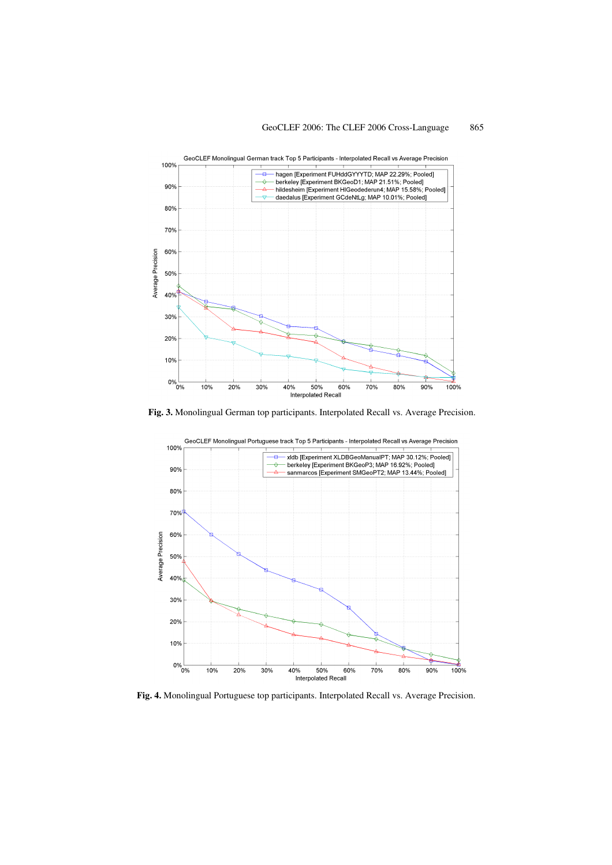

**Fig. 3.** Monolingual German top participants. Interpolated Recall vs. Average Precision.



**Fig. 4.** Monolingual Portuguese top participants. Interpolated Recall vs. Average Precision.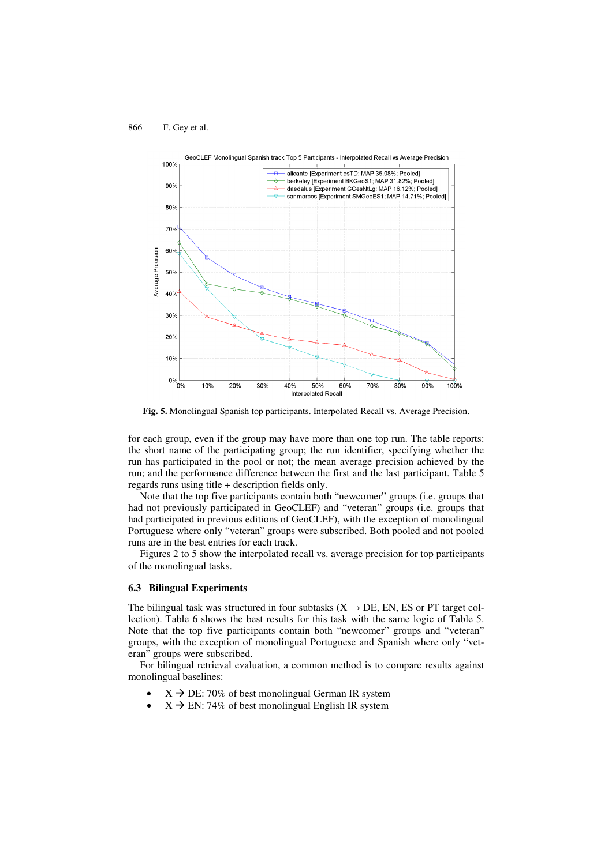

**Fig. 5.** Monolingual Spanish top participants. Interpolated Recall vs. Average Precision.

for each group, even if the group may have more than one top run. The table reports: the short name of the participating group; the run identifier, specifying whether the run has participated in the pool or not; the mean average precision achieved by the run; and the performance difference between the first and the last participant. Table 5 regards runs using title + description fields only.

Note that the top five participants contain both "newcomer" groups (i.e. groups that had not previously participated in GeoCLEF) and "veteran" groups (i.e. groups that had participated in previous editions of GeoCLEF), with the exception of monolingual Portuguese where only "veteran" groups were subscribed. Both pooled and not pooled runs are in the best entries for each track.

Figures 2 to 5 show the interpolated recall vs. average precision for top participants of the monolingual tasks.

#### **6.3 Bilingual Experiments**

The bilingual task was structured in four subtasks  $(X \rightarrow DE, EN, ES \text{ or } PT$  target collection). Table 6 shows the best results for this task with the same logic of Table 5. Note that the top five participants contain both "newcomer" groups and "veteran" groups, with the exception of monolingual Portuguese and Spanish where only "veteran" groups were subscribed.

For bilingual retrieval evaluation, a common method is to compare results against monolingual baselines:

- $X \rightarrow DE$ : 70% of best monolingual German IR system
- $X \rightarrow EN: 74\%$  of best monolingual English IR system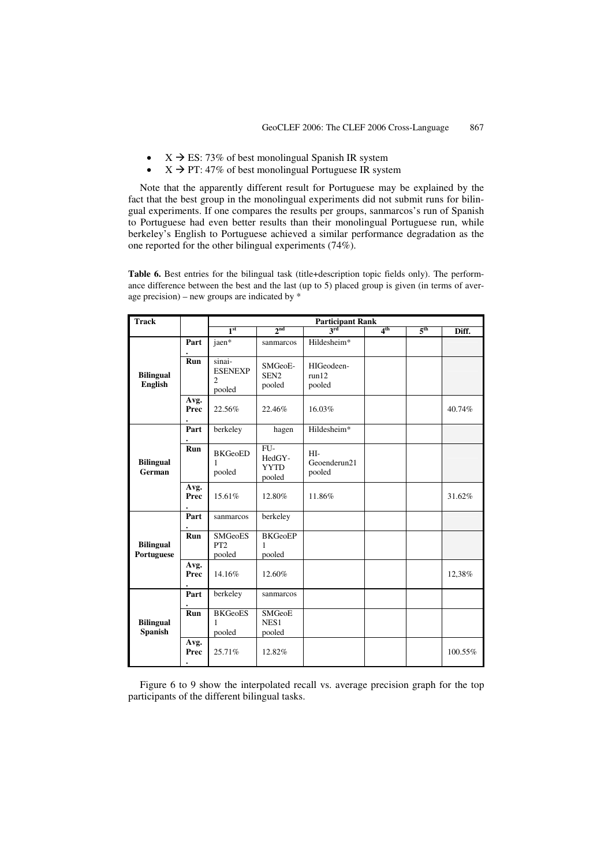- $X \rightarrow ES: 73\%$  of best monolingual Spanish IR system
- $X \rightarrow PT$ : 47% of best monolingual Portuguese IR system

Note that the apparently different result for Portuguese may be explained by the fact that the best group in the monolingual experiments did not submit runs for bilingual experiments. If one compares the results per groups, sanmarcos's run of Spanish to Portuguese had even better results than their monolingual Portuguese run, while berkeley's English to Portuguese achieved a similar performance degradation as the one reported for the other bilingual experiments (74%).

Table 6. Best entries for the bilingual task (title+description topic fields only). The performance difference between the best and the last (up to 5) placed group is given (in terms of average precision) – new groups are indicated by \*

| <b>Track</b>                       |                            |                                                      | <b>Participant Rank</b>                |                               |                 |                 |         |  |  |  |  |  |  |
|------------------------------------|----------------------------|------------------------------------------------------|----------------------------------------|-------------------------------|-----------------|-----------------|---------|--|--|--|--|--|--|
|                                    |                            | 1 <sup>st</sup>                                      | 2 <sup>nd</sup>                        | $3^{\text{rd}}$               | 4 <sup>th</sup> | 5 <sup>th</sup> | Diff.   |  |  |  |  |  |  |
|                                    | Part                       | jaen*                                                | sanmarcos                              | Hildesheim*                   |                 |                 |         |  |  |  |  |  |  |
| <b>Bilingual</b><br><b>English</b> | $\overline{\mathbf{R}}$ un | sinai-<br><b>ESENEXP</b><br>$\overline{c}$<br>pooled | SMGeoE-<br>SEN <sub>2</sub><br>pooled  | HIGeodeen-<br>run12<br>pooled |                 |                 |         |  |  |  |  |  |  |
|                                    | Avg.<br>Prec               | 22.56%                                               | 22.46%                                 | 16.03%                        |                 |                 | 40.74%  |  |  |  |  |  |  |
|                                    | Part                       | berkeley                                             | hagen                                  | Hildesheim*                   |                 |                 |         |  |  |  |  |  |  |
| <b>Bilingual</b><br>German         | Run                        | <b>BKGeoED</b><br>1<br>pooled                        | FU-<br>HedGY-<br><b>YYTD</b><br>pooled | HI-<br>Geoenderun21<br>pooled |                 |                 |         |  |  |  |  |  |  |
|                                    | Avg.<br>Prec               | 15.61%                                               | 12.80%                                 | 11.86%                        |                 |                 | 31.62%  |  |  |  |  |  |  |
|                                    | Part                       | sanmarcos                                            | berkeley                               |                               |                 |                 |         |  |  |  |  |  |  |
| <b>Bilingual</b><br>Portuguese     | Run                        | <b>SMGeoES</b><br>PT <sub>2</sub><br>pooled          | <b>BKGeoEP</b><br>1<br>pooled          |                               |                 |                 |         |  |  |  |  |  |  |
|                                    | Avg.<br>Prec               | 14.16%                                               | 12.60%                                 |                               |                 |                 | 12,38%  |  |  |  |  |  |  |
|                                    | Part                       | berkeley                                             | sanmarcos                              |                               |                 |                 |         |  |  |  |  |  |  |
| <b>Bilingual</b><br>Spanish        | Run                        | <b>BKGeoES</b><br>1<br>pooled                        | <b>SMGeoE</b><br>NES1<br>pooled        |                               |                 |                 |         |  |  |  |  |  |  |
|                                    | Avg.<br>Prec<br>٠          | 25.71%                                               | 12.82%                                 |                               |                 |                 | 100.55% |  |  |  |  |  |  |

Figure 6 to 9 show the interpolated recall vs. average precision graph for the top participants of the different bilingual tasks.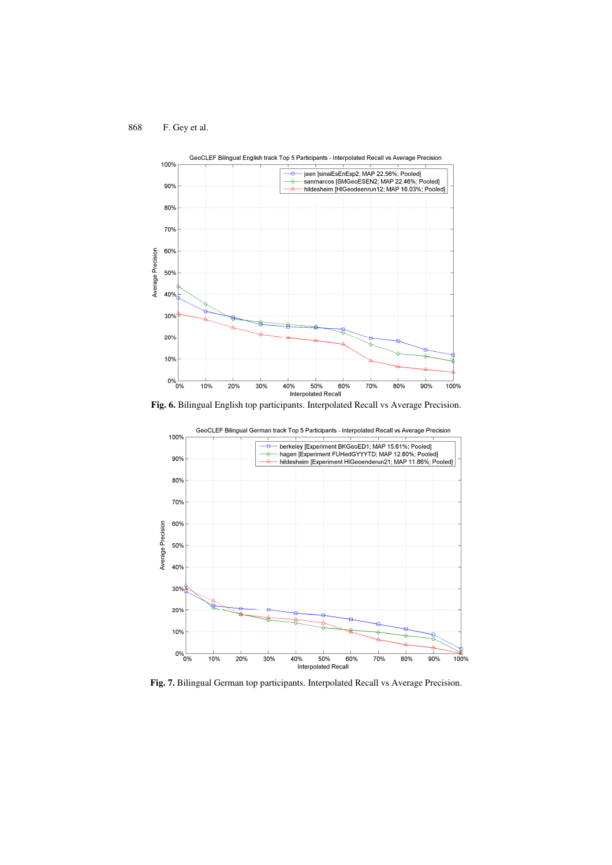

**Fig. 6.** Bilingual English top participants. Interpolated Recall vs Average Precision.



**Fig. 7.** Bilingual German top participants. Interpolated Recall vs Average Precision.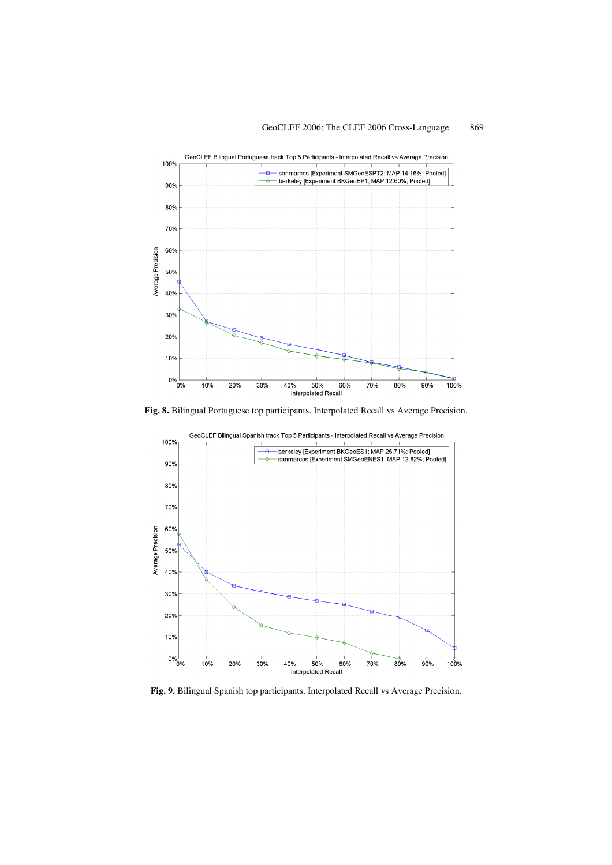

**Fig. 8.** Bilingual Portuguese top participants. Interpolated Recall vs Average Precision.



**Fig. 9.** Bilingual Spanish top participants. Interpolated Recall vs Average Precision.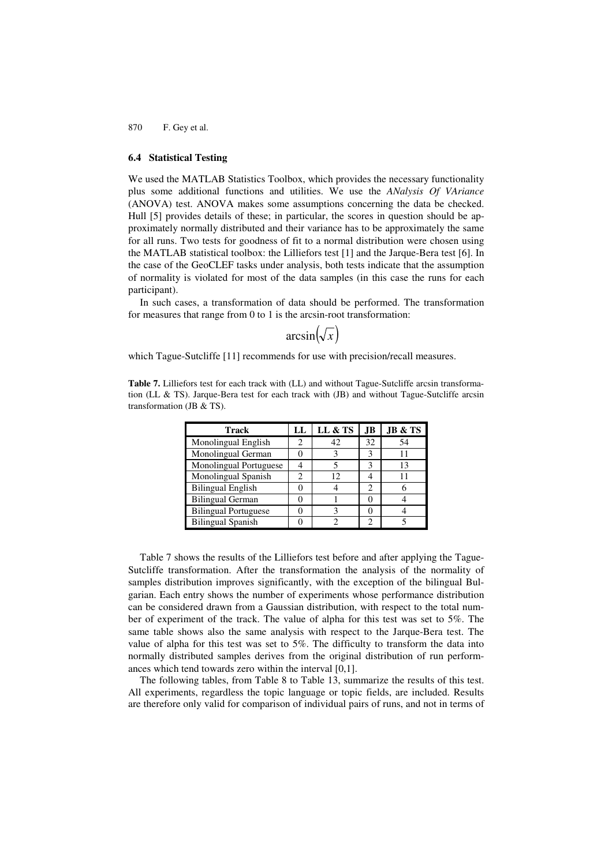#### **6.4 Statistical Testing**

We used the MATLAB Statistics Toolbox, which provides the necessary functionality plus some additional functions and utilities. We use the *ANalysis Of VAriance* (ANOVA) test. ANOVA makes some assumptions concerning the data be checked. Hull [5] provides details of these; in particular, the scores in question should be approximately normally distributed and their variance has to be approximately the same for all runs. Two tests for goodness of fit to a normal distribution were chosen using the MATLAB statistical toolbox: the Lilliefors test [1] and the Jarque-Bera test [6]. In the case of the GeoCLEF tasks under analysis, both tests indicate that the assumption of normality is violated for most of the data samples (in this case the runs for each participant).

In such cases, a transformation of data should be performed. The transformation for measures that range from 0 to 1 is the arcsin-root transformation:

```
arcsin(\sqrt{x})
```
which Tague-Sutcliffe [11] recommends for use with precision/recall measures.

**Table 7.** Lilliefors test for each track with (LL) and without Tague-Sutcliffe arcsin transformation (LL & TS). Jarque-Bera test for each track with (JB) and without Tague-Sutcliffe arcsin transformation (JB & TS).

| Track                       | LL | LL & TS | ЛB | JB & TS |
|-----------------------------|----|---------|----|---------|
| Monolingual English         |    | 42      | 32 | 54      |
| Monolingual German          |    |         |    |         |
| Monolingual Portuguese      |    |         |    | 13      |
| Monolingual Spanish         | 2  | 12      |    |         |
| <b>Bilingual English</b>    |    |         |    |         |
| <b>Bilingual German</b>     |    |         |    |         |
| <b>Bilingual Portuguese</b> |    |         |    |         |
| <b>Bilingual Spanish</b>    |    |         |    |         |

Table 7 shows the results of the Lilliefors test before and after applying the Tague-Sutcliffe transformation. After the transformation the analysis of the normality of samples distribution improves significantly, with the exception of the bilingual Bulgarian. Each entry shows the number of experiments whose performance distribution can be considered drawn from a Gaussian distribution, with respect to the total number of experiment of the track. The value of alpha for this test was set to 5%. The same table shows also the same analysis with respect to the Jarque-Bera test. The value of alpha for this test was set to 5%. The difficulty to transform the data into normally distributed samples derives from the original distribution of run performances which tend towards zero within the interval [0,1].

The following tables, from Table 8 to Table 13, summarize the results of this test. All experiments, regardless the topic language or topic fields, are included. Results are therefore only valid for comparison of individual pairs of runs, and not in terms of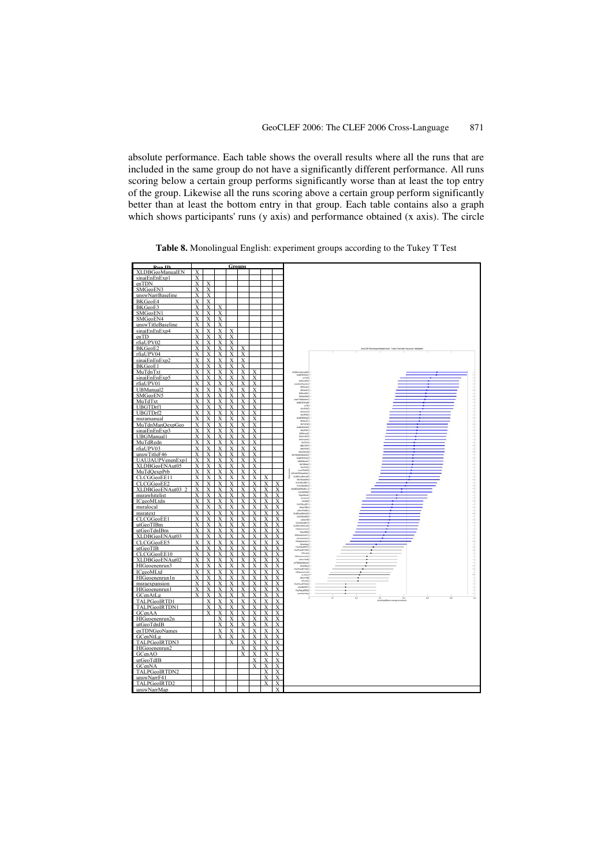absolute performance. Each table shows the overall results where all the runs that are included in the same group do not have a significantly different performance. All runs scoring below a certain group performs significantly worse than at least the top entry of the group. Likewise all the runs scoring above a certain group perform significantly better than at least the bottom entry in that group. Each table contains also a graph which shows participants' runs (y axis) and performance obtained (x axis). The circle



**Table 8.** Monolingual English: experiment groups according to the Tukey T Test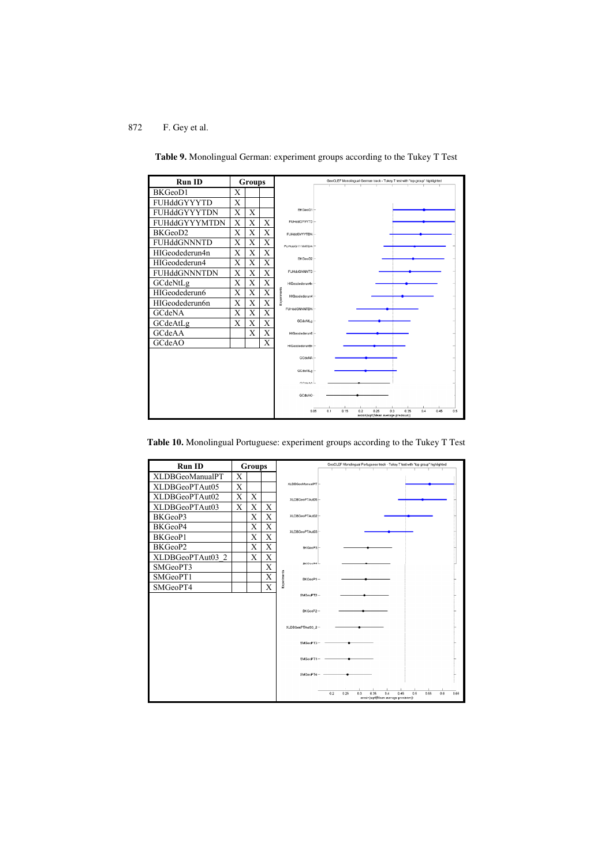| <b>Run ID</b>  |                | <b>Groups</b> |          | GeoCLEF Monolingual German track - Tukey T test with "top group" highlighted                                    |
|----------------|----------------|---------------|----------|-----------------------------------------------------------------------------------------------------------------|
| BKGeoD1        | X              |               |          |                                                                                                                 |
| FUHddGYYYTD    | X              |               |          |                                                                                                                 |
| FUHddGYYYTDN   | X              | X             |          | BKGeoD1-                                                                                                        |
| FUHddGYYYMTDN  | X              | X             | X        | FUHddGYYYTD-                                                                                                    |
| BKGeoD2        | $\overline{X}$ | X             | X        | FUHddGYYYTDN-                                                                                                   |
| FUHddGNNNTD    | X              | X             | X        | FUHJJGYYYMTDN-                                                                                                  |
| HIGeodederun4n | X              | X             | X        | BKGeoD2-                                                                                                        |
| HIGeodederun4  | X              | X             | X        |                                                                                                                 |
| FUHddGNNNTDN   | X              | X             | X        | FUHddGNNNTD-                                                                                                    |
| GCdeNtLg       | Χ              | Х             | X        | HiGeodedenun4n                                                                                                  |
| HIGeodederun6  | X              | X             | $\bf{X}$ | Experiments<br>HIGeodederun4                                                                                    |
| HIGeodederun6n | X              | X             | X        | <b>FUHddGNNNTDN</b>                                                                                             |
| GCdeNA         | X              | X             | X        |                                                                                                                 |
| GCdeAtLg       | X              | X             | X        | GCdeNtLg                                                                                                        |
| GCdeAA         |                | $\bf{X}$      | X        | HIGeodederun6                                                                                                   |
| GCdeAO         |                |               | X        | HIGeodederun6n                                                                                                  |
|                |                |               |          | GCdeNA                                                                                                          |
|                |                |               |          | GCdeAtLg                                                                                                        |
|                |                |               |          | GCdeAA                                                                                                          |
|                |                |               |          | GCdeAO-                                                                                                         |
|                |                |               |          | 0.25<br>0.1<br>0.15<br>0.2<br>0.3<br>0.35<br>0.4<br>0.45<br>0.5<br>0.05<br>arcsin(sqrt(Mean average precision)) |

**Table 9.** Monolingual German: experiment groups according to the Tukey T Test

| <b>Table 10.</b> Monolingual Portuguese: experiment groups according to the Tukey T Test |  |  |  |
|------------------------------------------------------------------------------------------|--|--|--|
|                                                                                          |  |  |  |

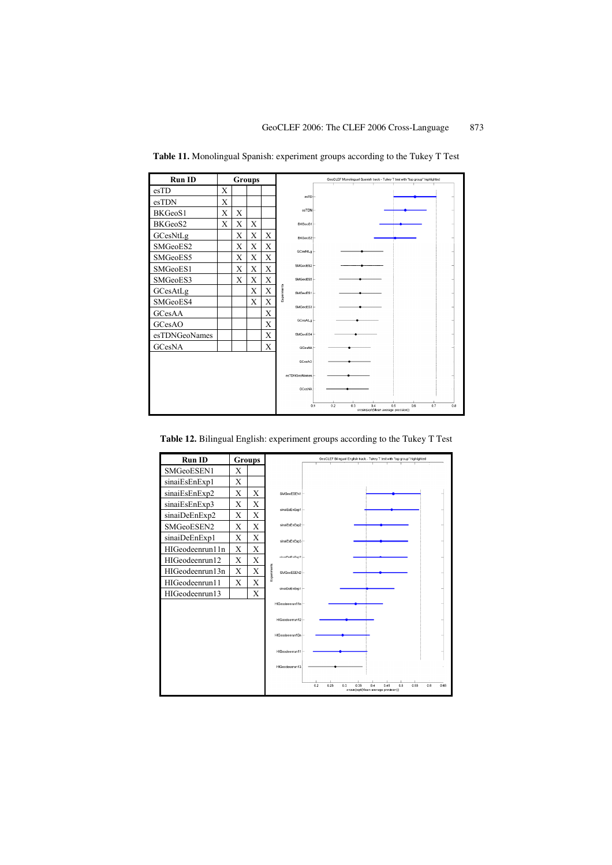

**Table 11.** Monolingual Spanish: experiment groups according to the Tukey T Test

**Table 12.** Bilingual English: experiment groups according to the Tukey T Test

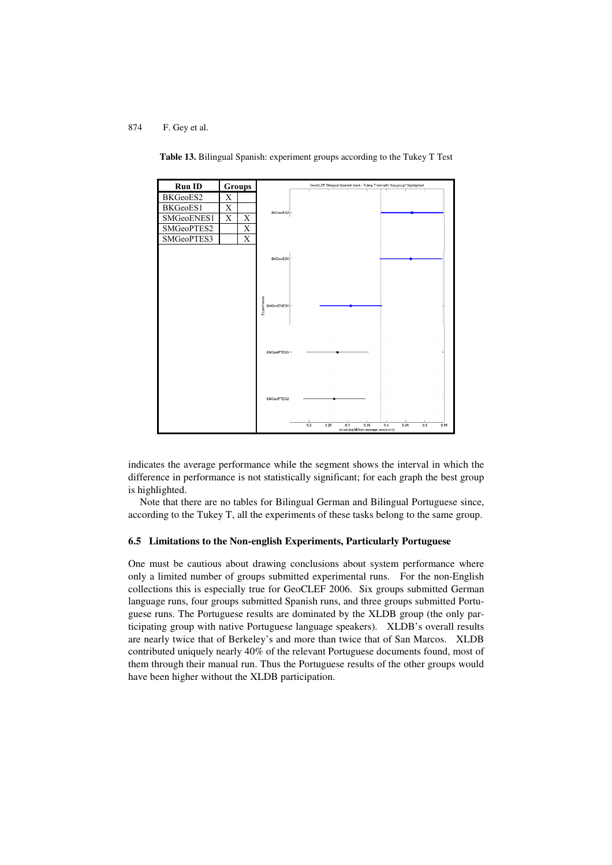

**Table 13.** Bilingual Spanish: experiment groups according to the Tukey T Test

indicates the average performance while the segment shows the interval in which the difference in performance is not statistically significant; for each graph the best group is highlighted.

Note that there are no tables for Bilingual German and Bilingual Portuguese since, according to the Tukey T, all the experiments of these tasks belong to the same group.

#### **6.5 Limitations to the Non-english Experiments, Particularly Portuguese**

One must be cautious about drawing conclusions about system performance where only a limited number of groups submitted experimental runs. For the non-English collections this is especially true for GeoCLEF 2006. Six groups submitted German language runs, four groups submitted Spanish runs, and three groups submitted Portuguese runs. The Portuguese results are dominated by the XLDB group (the only participating group with native Portuguese language speakers). XLDB's overall results are nearly twice that of Berkeley's and more than twice that of San Marcos. XLDB contributed uniquely nearly 40% of the relevant Portuguese documents found, most of them through their manual run. Thus the Portuguese results of the other groups would have been higher without the XLDB participation.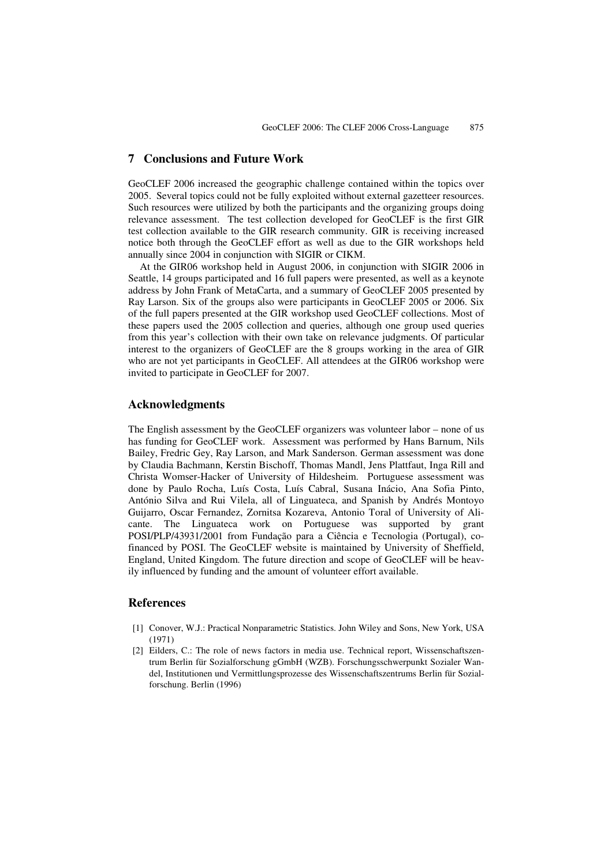# **7 Conclusions and Future Work**

GeoCLEF 2006 increased the geographic challenge contained within the topics over 2005. Several topics could not be fully exploited without external gazetteer resources. Such resources were utilized by both the participants and the organizing groups doing relevance assessment. The test collection developed for GeoCLEF is the first GIR test collection available to the GIR research community. GIR is receiving increased notice both through the GeoCLEF effort as well as due to the GIR workshops held annually since 2004 in conjunction with SIGIR or CIKM.

At the GIR06 workshop held in August 2006, in conjunction with SIGIR 2006 in Seattle, 14 groups participated and 16 full papers were presented, as well as a keynote address by John Frank of MetaCarta, and a summary of GeoCLEF 2005 presented by Ray Larson. Six of the groups also were participants in GeoCLEF 2005 or 2006. Six of the full papers presented at the GIR workshop used GeoCLEF collections. Most of these papers used the 2005 collection and queries, although one group used queries from this year's collection with their own take on relevance judgments. Of particular interest to the organizers of GeoCLEF are the 8 groups working in the area of GIR who are not yet participants in GeoCLEF. All attendees at the GIR06 workshop were invited to participate in GeoCLEF for 2007.

# **Acknowledgments**

The English assessment by the GeoCLEF organizers was volunteer labor – none of us has funding for GeoCLEF work. Assessment was performed by Hans Barnum, Nils Bailey, Fredric Gey, Ray Larson, and Mark Sanderson. German assessment was done by Claudia Bachmann, Kerstin Bischoff, Thomas Mandl, Jens Plattfaut, Inga Rill and Christa Womser-Hacker of University of Hildesheim. Portuguese assessment was done by Paulo Rocha, Luís Costa, Luís Cabral, Susana Inácio, Ana Sofia Pinto, António Silva and Rui Vilela, all of Linguateca, and Spanish by Andrés Montoyo Guijarro, Oscar Fernandez, Zornitsa Kozareva, Antonio Toral of University of Alicante. The Linguateca work on Portuguese was supported by grant POSI/PLP/43931/2001 from Fundação para a Ciência e Tecnologia (Portugal), cofinanced by POSI. The GeoCLEF website is maintained by University of Sheffield, England, United Kingdom. The future direction and scope of GeoCLEF will be heavily influenced by funding and the amount of volunteer effort available.

# **References**

- [1] Conover, W.J.: Practical Nonparametric Statistics. John Wiley and Sons, New York, USA (1971)
- [2] Eilders, C.: The role of news factors in media use. Technical report, Wissenschaftszentrum Berlin für Sozialforschung gGmbH (WZB). Forschungsschwerpunkt Sozialer Wandel, Institutionen und Vermittlungsprozesse des Wissenschaftszentrums Berlin für Sozialforschung. Berlin (1996)